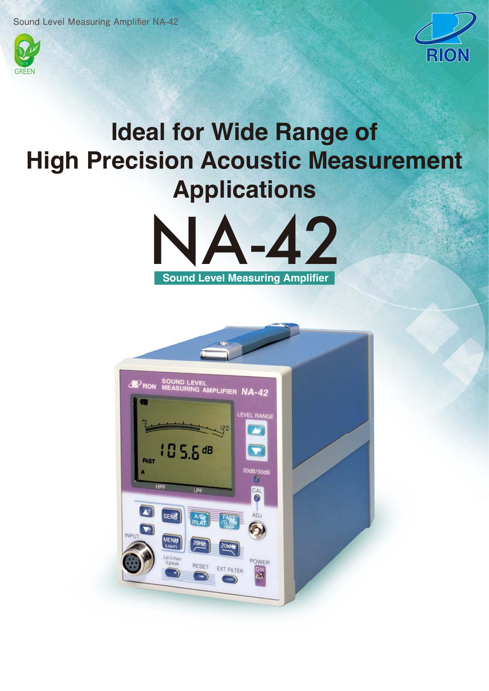



## **Ideal for Wide Range of High Precision Acoustic Measurement Applications**



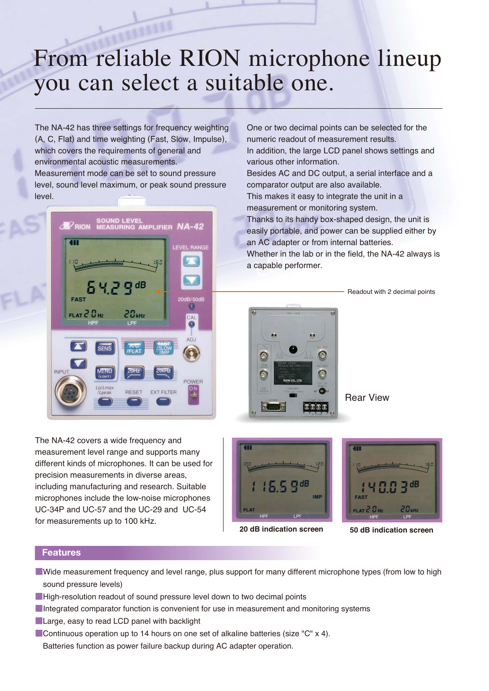# From reliable RION microphone lineup you can select a suitable one.

The NA-42 has three settings for frequency weighting (A, C, Flat) and time weighting (Fast, Slow, Impulse), which covers the requirements of general and environmental acoustic measurements. Measurement mode can be set to sound pressure level, sound level maximum, or peak sound pressure level.



One or two decimal points can be selected for the numeric readout of measurement results. In addition, the large LCD panel shows settings and various other information. Besides AC and DC output, a serial interface and a comparator output are also available. This makes it easy to integrate the unit in a measurement or monitoring system. Thanks to its handy box-shaped design, the unit is easily portable, and power can be supplied either by an AC adapter or from internal batteries. Whether in the lab or in the field, the NA-42 always is

Readout with 2 decimal points



a capable performer.

Rear View

The NA-42 covers a wide frequency and measurement level range and supports many different kinds of microphones. It can be used for precision measurements in diverse areas, including manufacturing and research. Suitable microphones include the low-noise microphones UC-34P and UC-57 and the UC-29 and UC-54 for measurements up to 100 kHz.





**20 dB indication screen 50 dB indication screen**

### **Features**

- ■Wide measurement frequency and level range, plus support for many different microphone types (from low to high sound pressure levels)
- ■High-resolution readout of sound pressure level down to two decimal points
- **Integrated comparator function is convenient for use in measurement and monitoring systems**
- ■Large, easy to read LCD panel with backlight
- Continuous operation up to 14 hours on one set of alkaline batteries (size "C" x 4). Batteries function as power failure backup during AC adapter operation.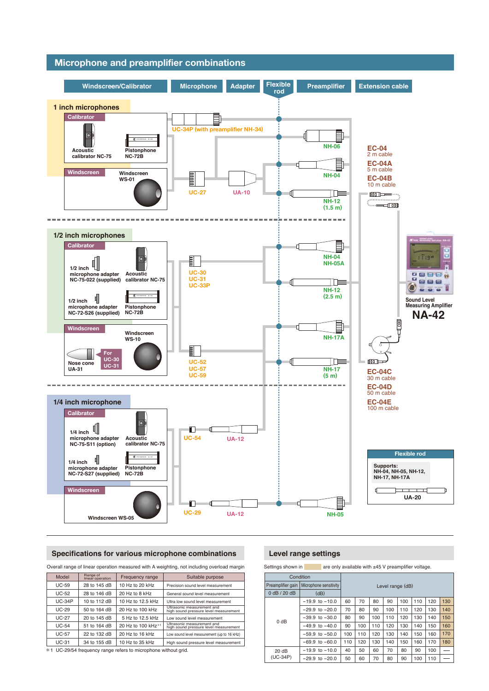

#### **Specifications for various microphone combinations Level range settings**

| Overall range of linear operation measured with A weighting, not including overload margin         |                              |                                |                                                                     |  |
|----------------------------------------------------------------------------------------------------|------------------------------|--------------------------------|---------------------------------------------------------------------|--|
| Model                                                                                              | Range of<br>linear operation | Frequency range                | Suitable purpose                                                    |  |
| <b>UC-59</b>                                                                                       | 28 to 145 dB                 | 10 Hz to 20 kHz                | Precision sound level measurement                                   |  |
| <b>UC-52</b>                                                                                       | 28 to 146 dB                 | 20 Hz to 8 kHz                 | General sound level measurement                                     |  |
| $UC-34P$                                                                                           | 10 to 112 dB                 | 10 Hz to 12.5 kHz              | Ultra low sound level measurement                                   |  |
| $UC-29$                                                                                            | 50 to 164 dB                 | 20 Hz to 100 kHz               | Ultrasonic measurement and<br>high sound pressure level measurement |  |
| $UC-27$                                                                                            | 20 to 145 dB                 | 5 Hz to 12.5 kHz               | Low sound level measurement                                         |  |
| $UC-54$                                                                                            | 51 to 164 dB                 | 20 Hz to 100 kHz <sup>*1</sup> | Ultrasonic measurement and<br>high sound pressure level measurement |  |
| <b>UC-57</b>                                                                                       | 22 to 132 dB                 | 20 Hz to 16 kHz                | Low sound level measurement (up to 16 kHz)                          |  |
| $UC-31$                                                                                            | 34 to 155 dB                 | 10 Hz to 35 kHz                | High sound pressure level measurement                               |  |
| $\forall$ 1.10.00 $\sqrt{5}$ 4.4 under construction and referred to reconstruct with a state strip |                              |                                |                                                                     |  |

\*1 UC-29/54 frequency range refers to microphone without grid.

Settings shown in  $\qquad$  are only available with  $±45$  V preamplifier voltage.

| Condition                                   |                    |                  |     |     |     |     |     |     |     |
|---------------------------------------------|--------------------|------------------|-----|-----|-----|-----|-----|-----|-----|
| Preamplifier gain<br>Microphone sensitivity |                    | Level range (dB) |     |     |     |     |     |     |     |
| 0 dB / 20 dB                                | (dB)               |                  |     |     |     |     |     |     |     |
| 0 dB                                        | $-19.9$ to $-10.0$ | 60               | 70  | 80  | 90  | 100 | 110 | 120 | 130 |
|                                             | $-29.9$ to $-20.0$ | 70               | 80  | 90  | 100 | 110 | 120 | 130 | 140 |
|                                             | $-39.9$ to $-30.0$ | 80               | 90  | 100 | 110 | 120 | 130 | 140 | 150 |
|                                             | $-49.9$ to $-40.0$ | 90               | 100 | 110 | 120 | 130 | 140 | 150 | 160 |
|                                             | $-59.9$ to $-50.0$ | 100              | 110 | 120 | 130 | 140 | 150 | 160 | 170 |
|                                             | $-69.9$ to $-60.0$ | 110              | 120 | 130 | 140 | 150 | 160 | 170 | 180 |
| 20 dB<br>$(UC-34P)$                         | $-19.9$ to $-10.0$ | 40               | 50  | 60  | 70  | 80  | 90  | 100 |     |
|                                             | $-29.9$ to $-20.0$ | 50               | 60  | 70  | 80  | 90  | 100 | 110 |     |